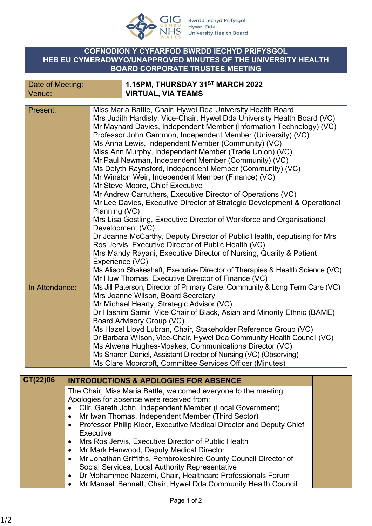

## **COFNODION Y CYFARFOD BWRDD IECHYD PRIFYSGOL HEB EU CYMERADWYO/UNAPPROVED MINUTES OF THE UNIVERSITY HEALTH BOARD CORPORATE TRUSTEE MEETING**

| Date of Meeting: |  | 1.15PM, THURSDAY 31ST MARCH 2022                                                                                                                                                                                                                                                                                                                                                                                                                                                                                                                                                                                                                                                                                                                                                                                                                                                                                                              |  |  |
|------------------|--|-----------------------------------------------------------------------------------------------------------------------------------------------------------------------------------------------------------------------------------------------------------------------------------------------------------------------------------------------------------------------------------------------------------------------------------------------------------------------------------------------------------------------------------------------------------------------------------------------------------------------------------------------------------------------------------------------------------------------------------------------------------------------------------------------------------------------------------------------------------------------------------------------------------------------------------------------|--|--|
| Venue:           |  | <b>VIRTUAL, VIA TEAMS</b>                                                                                                                                                                                                                                                                                                                                                                                                                                                                                                                                                                                                                                                                                                                                                                                                                                                                                                                     |  |  |
| Present:         |  | Miss Maria Battle, Chair, Hywel Dda University Health Board<br>Mrs Judith Hardisty, Vice-Chair, Hywel Dda University Health Board (VC)<br>Mr Maynard Davies, Independent Member (Information Technology) (VC)<br>Professor John Gammon, Independent Member (University) (VC)<br>Ms Anna Lewis, Independent Member (Community) (VC)<br>Miss Ann Murphy, Independent Member (Trade Union) (VC)<br>Mr Paul Newman, Independent Member (Community) (VC)<br>Ms Delyth Raynsford, Independent Member (Community) (VC)<br>Mr Winston Weir, Independent Member (Finance) (VC)<br>Mr Steve Moore, Chief Executive<br>Mr Andrew Carruthers, Executive Director of Operations (VC)<br>Mr Lee Davies, Executive Director of Strategic Development & Operational<br>Planning (VC)<br>Mrs Lisa Gostling, Executive Director of Workforce and Organisational<br>Development (VC)<br>Dr Joanne McCarthy, Deputy Director of Public Health, deputising for Mrs |  |  |
|                  |  | Ros Jervis, Executive Director of Public Health (VC)<br>Mrs Mandy Rayani, Executive Director of Nursing, Quality & Patient<br>Experience (VC)<br>Ms Alison Shakeshaft, Executive Director of Therapies & Health Science (VC)                                                                                                                                                                                                                                                                                                                                                                                                                                                                                                                                                                                                                                                                                                                  |  |  |
| In Attendance:   |  | Mr Huw Thomas, Executive Director of Finance (VC)<br>Ms Jill Paterson, Director of Primary Care, Community & Long Term Care (VC)<br>Mrs Joanne Wilson, Board Secretary<br>Mr Michael Hearty, Strategic Advisor (VC)<br>Dr Hashim Samir, Vice Chair of Black, Asian and Minority Ethnic (BAME)<br>Board Advisory Group (VC)<br>Ms Hazel Lloyd Lubran, Chair, Stakeholder Reference Group (VC)<br>Dr Barbara Wilson, Vice-Chair, Hywel Dda Community Health Council (VC)<br>Ms Alwena Hughes-Moakes, Communications Director (VC)<br>Ms Sharon Daniel, Assistant Director of Nursing (VC) (Observing)<br>Ms Clare Moorcroft, Committee Services Officer (Minutes)                                                                                                                                                                                                                                                                               |  |  |
| CT(22)06         |  | <b>INTRODUCTIONS &amp; APOLOGIES FOR ABSENCE</b>                                                                                                                                                                                                                                                                                                                                                                                                                                                                                                                                                                                                                                                                                                                                                                                                                                                                                              |  |  |
|                  |  | The Chair, Miss Maria Battle, welcomed everyone to the meeting.<br>Apologies for absence were received from:<br>Cllr. Gareth John, Independent Member (Local Government)                                                                                                                                                                                                                                                                                                                                                                                                                                                                                                                                                                                                                                                                                                                                                                      |  |  |

- Mr Iwan Thomas, Independent Member (Third Sector)
- Professor Philip Kloer, Executive Medical Director and Deputy Chief Executive
- Mrs Ros Jervis, Executive Director of Public Health
- Mr Mark Henwood, Deputy Medical Director
- Mr Jonathan Griffiths, Pembrokeshire County Council Director of Social Services, Local Authority Representative
- Dr Mohammed Nazemi, Chair, Healthcare Professionals Forum
- Mr Mansell Bennett, Chair, Hywel Dda Community Health Council